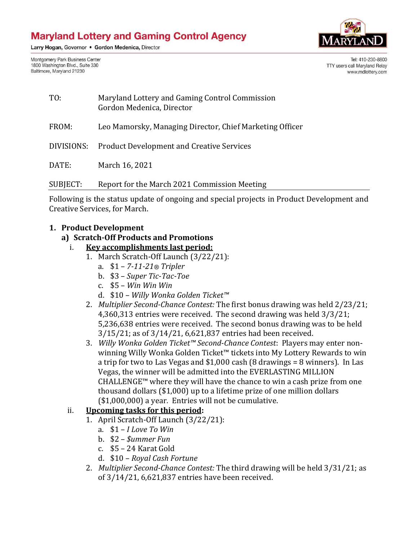Larry Hogan, Governor . Gordon Medenica, Director

Montgomery Park Business Center 1800 Washington Blvd., Suite 330 Baltimore, Maryland 21230



Tel: 410-230-8800 TTY users call Maryland Relay www.mdlottery.com

TO: Maryland Lottery and Gaming Control Commission Gordon Medenica, Director FROM: Leo Mamorsky, Managing Director, Chief Marketing Officer DIVISIONS: Product Development and Creative Services DATE: March 16, 2021 SUBJECT: Report for the March 2021 Commission Meeting

Following is the status update of ongoing and special projects in Product Development and Creative Services, for March.

#### **1. Product Development**

#### **a) Scratch-Off Products and Promotions**

#### i. **Key accomplishments last period:**

- 1. March Scratch-Off Launch (3/22/21):
	- a. \$1 *7-11-21® Tripler*
	- b. \$3 *Super Tic-Tac-Toe*
	- c. \$5 *Win Win Win*
	- d. \$10 *Willy Wonka Golden Ticket™*
	- 2. *Multiplier Second-Chance Contest:* The first bonus drawing was held 2/23/21; 4,360,313 entries were received.The second drawing was held 3/3/21; 5,236,638 entries were received. The second bonus drawing was to be held 3/15/21; as of 3/14/21, 6,621,837 entries had been received.
	- 3. *Willy Wonka Golden Ticket™ Second-Chance Contest*: Players may enter nonwinning Willy Wonka Golden Ticket™ tickets into My Lottery Rewards to win a trip for two to Las Vegas and \$1,000 cash (8 drawings = 8 winners). In Las Vegas, the winner will be admitted into the EVERLASTING MILLION CHALLENGE™ where they will have the chance to win a cash prize from one thousand dollars (\$1,000) up to a lifetime prize of one million dollars (\$1,000,000) a year*.* Entries will not be cumulative.

#### ii. **Upcoming tasks for this period:**

- 1. April Scratch-Off Launch (3/22/21):
	- a. \$1 *I Love To Win*
	- b. \$2 *\$ummer Fun*
	- c. \$5 24 Karat Gold
	- d. \$10 *Royal Cash Fortune*
- 2. *Multiplier Second-Chance Contest:* The third drawing will be held 3/31/21; as of 3/14/21, 6,621,837 entries have been received.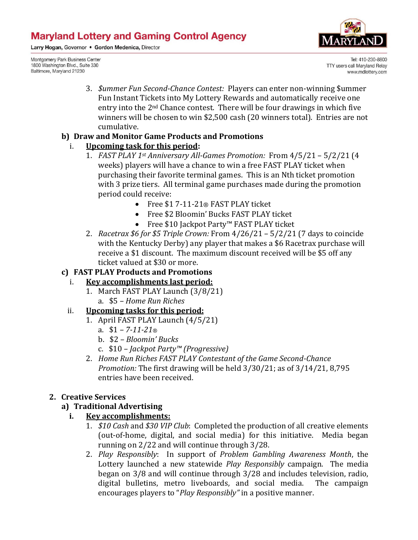Larry Hogan, Governor . Gordon Medenica, Director

Montgomery Park Business Center 1800 Washington Blvd., Suite 330 Baltimore, Maryland 21230



Tel: 410-230-8800 TTY users call Maryland Relay www.mdlottery.com

3. *\$ummer Fun Second-Chance Contest:* Players can enter non-winning \$ummer Fun Instant Tickets into My Lottery Rewards and automatically receive one entry into the  $2<sup>nd</sup>$  Chance contest. There will be four drawings in which five winners will be chosen to win \$2,500 cash (20 winners total). Entries are not cumulative.

## **b) Draw and Monitor Game Products and Promotions**

## i. **Upcoming task for this period:**

- 1. *FAST PLAY 1st Anniversary All-Games Promotion:* From 4/5/21 5/2/21 (4 weeks) players will have a chance to win a free FAST PLAY ticket when purchasing their favorite terminal games. This is an Nth ticket promotion with 3 prize tiers. All terminal game purchases made during the promotion period could receive:
	- Free \$1 7-11-21® FAST PLAY ticket
	- Free \$2 Bloomin' Bucks FAST PLAY ticket
	- Free \$10 Jackpot Party™ FAST PLAY ticket
- 2. *Racetrax \$6 for \$5 Triple Crown:* From 4/26/21 5/2/21 (7 days to coincide with the Kentucky Derby) any player that makes a \$6 Racetrax purchase will receive a \$1 discount. The maximum discount received will be \$5 off any ticket valued at \$30 or more.

## **c) FAST PLAY Products and Promotions**

## i. **Key accomplishments last period:**

1. March FAST PLAY Launch (3/8/21) a. \$5 *– Home Run Riches* 

## ii. **Upcoming tasks for this period:**

- 1. April FAST PLAY Launch (4/5/21)
	- a. \$1 *– 7-11-21®*
	- b. \$2 *– Bloomin' Bucks*
	- c. \$10 *– Jackpot Party™ (Progressive)*
- 2. *Home Run Riches FAST PLAY Contestant of the Game Second-Chance Promotion:* The first drawing will be held 3/30/21; as of 3/14/21, 8,795 entries have been received.

## **2. Creative Services**

## **a) Traditional Advertising**

## **i. Key accomplishments:**

- 1. *\$10 Cash* and *\$30 VIP Club*: Completed the production of all creative elements (out-of-home, digital, and social media) for this initiative. Media began running on 2/22 and will continue through 3/28.
- 2. *Play Responsibly*: In support of *Problem Gambling Awareness Month*, the Lottery launched a new statewide *Play Responsibly* campaign. The media began on 3/8 and will continue through 3/28 and includes television, radio, digital bulletins, metro liveboards, and social media. The campaign encourages players to "*Play Responsibly"* in a positive manner.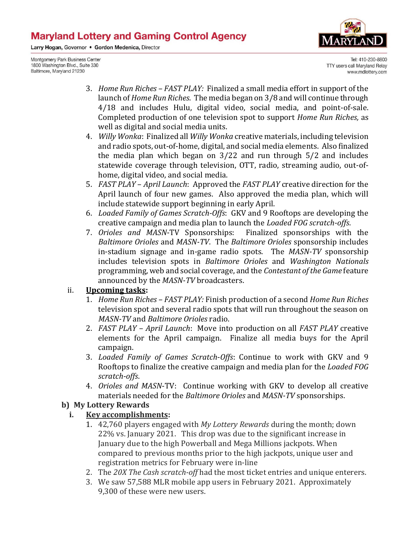Larry Hogan, Governor . Gordon Medenica, Director

Montgomery Park Business Center 1800 Washington Blvd., Suite 330 Baltimore, Maryland 21230



Tel: 410-230-8800 TTY users call Maryland Relay www.mdlottery.com

- 3. *Home Run Riches – FAST PLAY:* Finalized a small media effort in support of the launch of *Home Run Riches*. The media began on 3/8 and will continue through 4/18 and includes Hulu, digital video, social media, and point-of-sale. Completed production of one television spot to support *Home Run Riches,* as well as digital and social media units.
- 4. *Willy Wonka*: Finalized all *Willy Wonka* creative materials, including television and radio spots, out-of-home, digital, and social media elements. Also finalized the media plan which began on 3/22 and run through 5/2 and includes statewide coverage through television, OTT, radio, streaming audio, out-ofhome, digital video, and social media.
- 5. *FAST PLAY April Launch*: Approved the *FAST PLAY* creative direction for the April launch of four new games. Also approved the media plan, which will include statewide support beginning in early April.
- 6. *Loaded Family of Games Scratch-Offs*: GKV and 9 Rooftops are developing the creative campaign and media plan to launch the *Loaded FOG scratch-offs*.
- 7. *Orioles and MASN*-TV Sponsorships: Finalized sponsorships with the *Baltimore Orioles* and *MASN-TV*. The *Baltimore Orioles* sponsorship includes in-stadium signage and in-game radio spots. The *MASN-TV* sponsorship includes television spots in *Baltimore Orioles* and *Washington Nationals* programming, web and social coverage, and the *Contestant of the Game* feature announced by the *MASN-TV* broadcasters.

#### ii. **Upcoming tasks:**

- 1. *Home Run Riches – FAST PLAY:* Finish production of a second *Home Run Riches* television spot and several radio spots that will run throughout the season on *MASN-TV* and *Baltimore Orioles* radio.
- 2. *FAST PLAY April Launch*: Move into production on all *FAST PLAY* creative elements for the April campaign. Finalize all media buys for the April campaign.
- 3. *Loaded Family of Games Scratch*-*Offs*: Continue to work with GKV and 9 Rooftops to finalize the creative campaign and media plan for the *Loaded FOG scratch-offs*.
- 4. *Orioles and MASN*-TV: Continue working with GKV to develop all creative materials needed for the *Baltimore Orioles* and *MASN-TV* sponsorships.

#### **b) My Lottery Rewards**

#### **i. Key accomplishments:**

- 1. 42,760 players engaged with *My Lottery Rewards* during the month; down 22% vs. January 2021. This drop was due to the significant increase in January due to the high Powerball and Mega Millions jackpots. When compared to previous months prior to the high jackpots, unique user and registration metrics for February were in-line
- 2. The *20X The Cash scratch-off* had the most ticket entries and unique enterers.
- 3. We saw 57,588 MLR mobile app users in February 2021. Approximately 9,300 of these were new users.